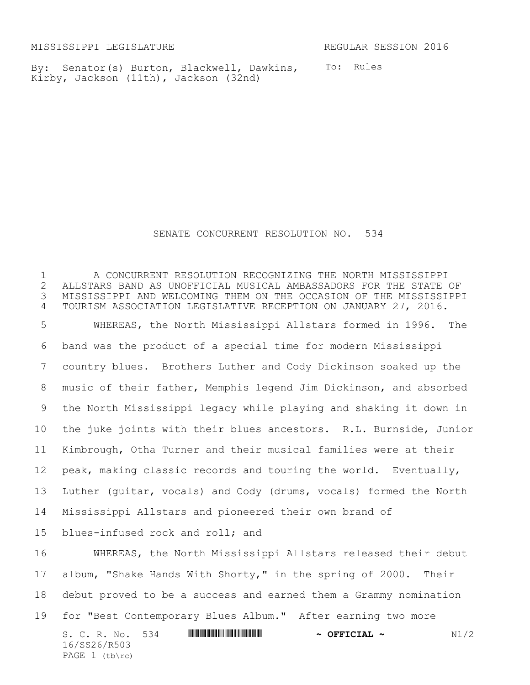MISSISSIPPI LEGISLATURE REGULAR SESSION 2016

By: Senator(s) Burton, Blackwell, Dawkins, To: Rules Kirby, Jackson (11th), Jackson (32nd)

## SENATE CONCURRENT RESOLUTION NO. 534

S. C. R. No. 534 \*SS26/R503\* **~ OFFICIAL ~** N1/2 16/SS26/R503 PAGE 1 (tb\rc) A CONCURRENT RESOLUTION RECOGNIZING THE NORTH MISSISSIPPI ALLSTARS BAND AS UNOFFICIAL MUSICAL AMBASSADORS FOR THE STATE OF MISSISSIPPI AND WELCOMING THEM ON THE OCCASION OF THE MISSISSIPPI TOURISM ASSOCIATION LEGISLATIVE RECEPTION ON JANUARY 27, 2016. WHEREAS, the North Mississippi Allstars formed in 1996. The band was the product of a special time for modern Mississippi country blues. Brothers Luther and Cody Dickinson soaked up the music of their father, Memphis legend Jim Dickinson, and absorbed the North Mississippi legacy while playing and shaking it down in the juke joints with their blues ancestors. R.L. Burnside, Junior Kimbrough, Otha Turner and their musical families were at their peak, making classic records and touring the world. Eventually, Luther (guitar, vocals) and Cody (drums, vocals) formed the North Mississippi Allstars and pioneered their own brand of blues-infused rock and roll; and WHEREAS, the North Mississippi Allstars released their debut album, "Shake Hands With Shorty," in the spring of 2000. Their debut proved to be a success and earned them a Grammy nomination for "Best Contemporary Blues Album." After earning two more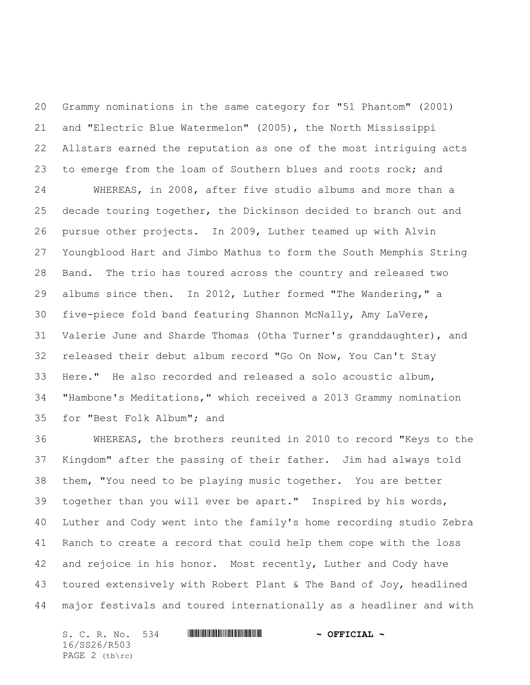Grammy nominations in the same category for "51 Phantom" (2001) and "Electric Blue Watermelon" (2005), the North Mississippi Allstars earned the reputation as one of the most intriguing acts to emerge from the loam of Southern blues and roots rock; and

 WHEREAS, in 2008, after five studio albums and more than a decade touring together, the Dickinson decided to branch out and pursue other projects. In 2009, Luther teamed up with Alvin Youngblood Hart and Jimbo Mathus to form the South Memphis String Band. The trio has toured across the country and released two albums since then. In 2012, Luther formed "The Wandering," a five-piece fold band featuring Shannon McNally, Amy LaVere, Valerie June and Sharde Thomas (Otha Turner's granddaughter), and released their debut album record "Go On Now, You Can't Stay Here." He also recorded and released a solo acoustic album, "Hambone's Meditations," which received a 2013 Grammy nomination for "Best Folk Album"; and

 WHEREAS, the brothers reunited in 2010 to record "Keys to the Kingdom" after the passing of their father. Jim had always told them, "You need to be playing music together. You are better together than you will ever be apart." Inspired by his words, Luther and Cody went into the family's home recording studio Zebra Ranch to create a record that could help them cope with the loss and rejoice in his honor. Most recently, Luther and Cody have toured extensively with Robert Plant & The Band of Joy, headlined major festivals and toured internationally as a headliner and with

S. C. R. No. 534 **WILL AND ALLEST AND A OFFICIAL ~** 16/SS26/R503 PAGE 2 (tb\rc)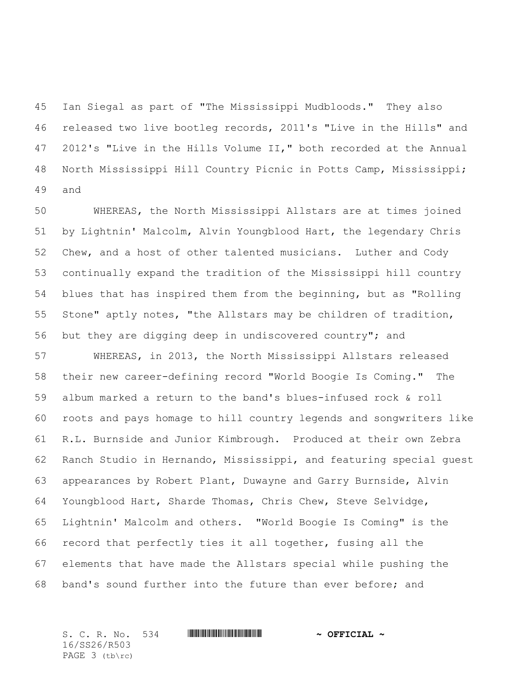Ian Siegal as part of "The Mississippi Mudbloods." They also released two live bootleg records, 2011's "Live in the Hills" and 2012's "Live in the Hills Volume II," both recorded at the Annual North Mississippi Hill Country Picnic in Potts Camp, Mississippi; and

 WHEREAS, the North Mississippi Allstars are at times joined by Lightnin' Malcolm, Alvin Youngblood Hart, the legendary Chris Chew, and a host of other talented musicians. Luther and Cody continually expand the tradition of the Mississippi hill country blues that has inspired them from the beginning, but as "Rolling Stone" aptly notes, "the Allstars may be children of tradition, but they are digging deep in undiscovered country"; and

 WHEREAS, in 2013, the North Mississippi Allstars released their new career-defining record "World Boogie Is Coming." The album marked a return to the band's blues-infused rock & roll roots and pays homage to hill country legends and songwriters like R.L. Burnside and Junior Kimbrough. Produced at their own Zebra Ranch Studio in Hernando, Mississippi, and featuring special guest appearances by Robert Plant, Duwayne and Garry Burnside, Alvin Youngblood Hart, Sharde Thomas, Chris Chew, Steve Selvidge, Lightnin' Malcolm and others. "World Boogie Is Coming" is the record that perfectly ties it all together, fusing all the elements that have made the Allstars special while pushing the band's sound further into the future than ever before; and

S. C. R. No. 534 \*SS26/R503\* **~ OFFICIAL ~** 16/SS26/R503 PAGE 3 (tb\rc)